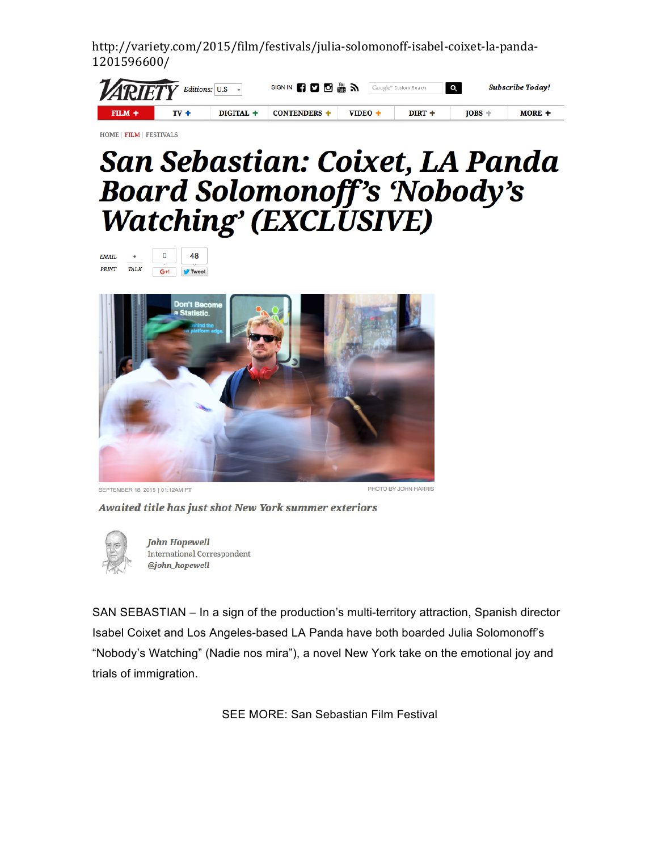http://variety.com/2015/film/festivals/julia-solomonoff-isabel-coixet-la-panda-1201596600/

| <b>ZARIETY</b> Editions: U.S |        |           | SIGN IN <b>61 0 6 &amp; 31</b> Google" Custom Search |                     |          | ll Q I | Subscribe Today! |
|------------------------------|--------|-----------|------------------------------------------------------|---------------------|----------|--------|------------------|
| $FHM +$                      | $TV +$ | DIGITAL + | <b>CONTENDERS</b>                                    | VIDEO $\rightarrow$ | $DIRT +$ | TOBS - | MORE +           |

HOME | FILM | FESTIVALS

## San Sebastian: Coixet, LA Panda **Board Solomonoff's 'Nobody's Watching' (EXCLUSIVE)**

| <b>EMAIL</b> |             |     | <b>Tweet</b> |  |
|--------------|-------------|-----|--------------|--|
| <b>PRINT</b> | <b>TALK</b> | G+1 |              |  |





PHOTO BY JOHN HARRIS

Awaited title has just shot New York summer exteriors



**John Hopewell International Correspondent** @john\_hopewell

SAN SEBASTIAN – In a sign of the production's multi-territory attraction, Spanish director Isabel Coixet and Los Angeles-based LA Panda have both boarded Julia Solomonoff's "Nobody's Watching" (Nadie nos mira"), a novel New York take on the emotional joy and trials of immigration.

SEE MORE: San Sebastian Film Festival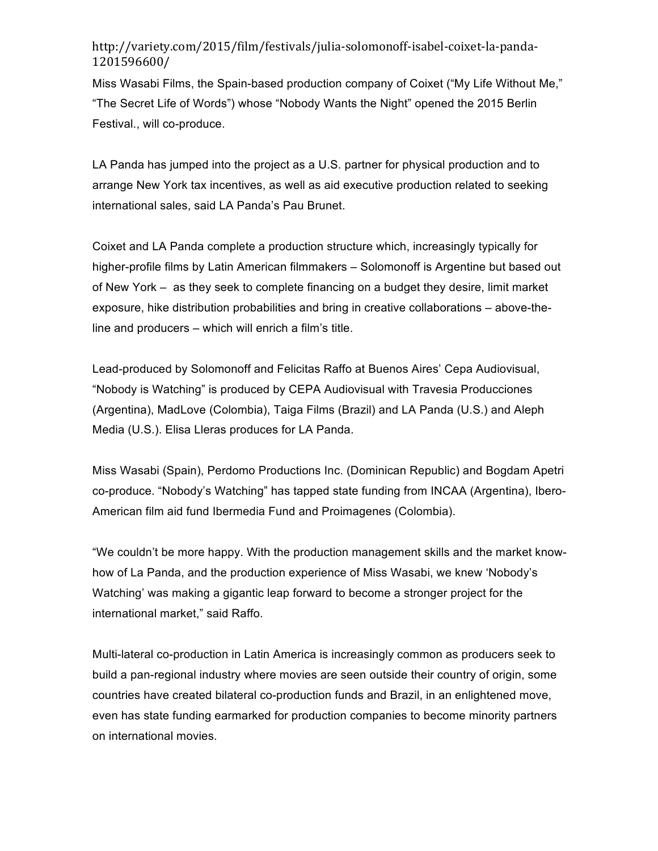## http://variety.com/2015/film/festivals/julia-solomonoff-isabel-coixet-la-panda-1201596600/

Miss Wasabi Films, the Spain-based production company of Coixet ("My Life Without Me," "The Secret Life of Words") whose "Nobody Wants the Night" opened the 2015 Berlin Festival., will co-produce.

LA Panda has jumped into the project as a U.S. partner for physical production and to arrange New York tax incentives, as well as aid executive production related to seeking international sales, said LA Panda's Pau Brunet.

Coixet and LA Panda complete a production structure which, increasingly typically for higher-profile films by Latin American filmmakers – Solomonoff is Argentine but based out of New York – as they seek to complete financing on a budget they desire, limit market exposure, hike distribution probabilities and bring in creative collaborations – above-theline and producers – which will enrich a film's title.

Lead-produced by Solomonoff and Felicitas Raffo at Buenos Aires' Cepa Audiovisual, "Nobody is Watching" is produced by CEPA Audiovisual with Travesia Producciones (Argentina), MadLove (Colombia), Taiga Films (Brazil) and LA Panda (U.S.) and Aleph Media (U.S.). Elisa Lleras produces for LA Panda.

Miss Wasabi (Spain), Perdomo Productions Inc. (Dominican Republic) and Bogdam Apetri co-produce. "Nobody's Watching" has tapped state funding from INCAA (Argentina), Ibero-American film aid fund Ibermedia Fund and Proimagenes (Colombia).

"We couldn't be more happy. With the production management skills and the market knowhow of La Panda, and the production experience of Miss Wasabi, we knew 'Nobody's Watching' was making a gigantic leap forward to become a stronger project for the international market," said Raffo.

Multi-lateral co-production in Latin America is increasingly common as producers seek to build a pan-regional industry where movies are seen outside their country of origin, some countries have created bilateral co-production funds and Brazil, in an enlightened move, even has state funding earmarked for production companies to become minority partners on international movies.